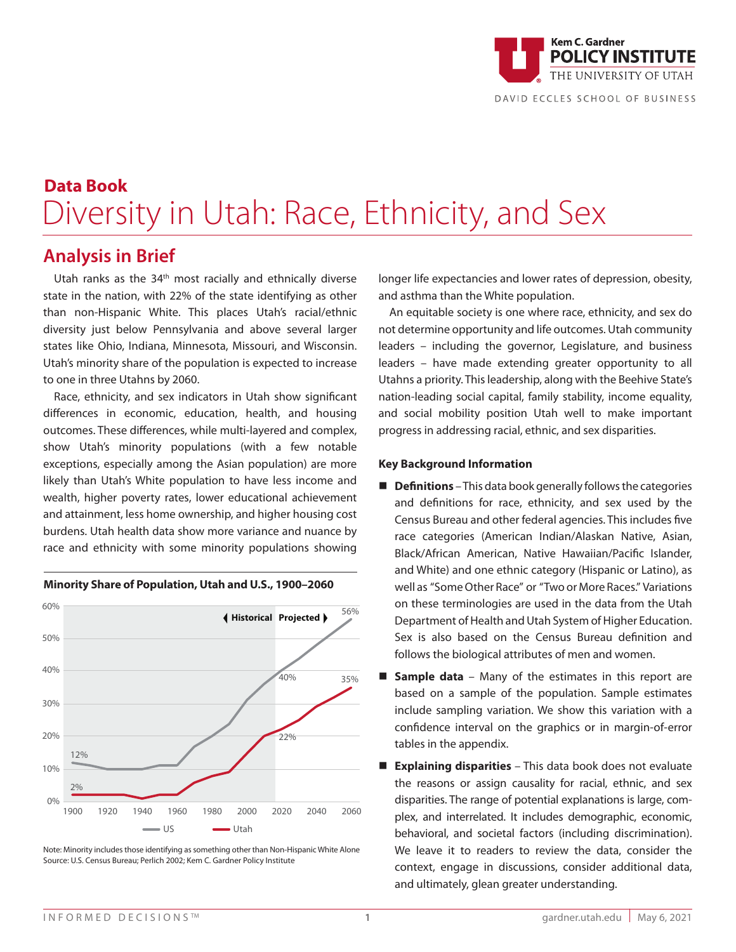

## **Data Book** Diversity in Utah: Race, Ethnicity, and Sex

## **Analysis in Brief**

Utah ranks as the 34<sup>th</sup> most racially and ethnically diverse state in the nation, with 22% of the state identifying as other than non-Hispanic White. This places Utah's racial/ethnic diversity just below Pennsylvania and above several larger states like Ohio, Indiana, Minnesota, Missouri, and Wisconsin. Utah's minority share of the population is expected to increase to one in three Utahns by 2060.

 $\frac{M}{R}$  and  $\frac{M}{R}$ . The case of  $\frac{M}{R}$  and ethnicity with some minority populations showing  $\frac{M}{R}$ Race, ethnicity, and sex indicators in Utah show significant differences in economic, education, health, and housing outcomes. These differences, while multi-layered and complex, show Utah's minority populations (with a few notable exceptions, especially among the Asian population) are more likely than Utah's White population to have less income and wealth, higher poverty rates, lower educational achievement and attainment, less home ownership, and higher housing cost burdens. Utah health data show more variance and nuance by



**Minority Share of Population, Utah and U.S., 1900–2060**

Note: Minority includes those identifying as something other than Non-Hispanic White Alone Source: U.S. Census Bureau; Perlich 2002; Kem C. Gardner Policy Institute

longer life expectancies and lower rates of depression, obesity, and asthma than the White population.

An equitable society is one where race, ethnicity, and sex do not determine opportunity and life outcomes. Utah community leaders – including the governor, Legislature, and business leaders – have made extending greater opportunity to all Utahns a priority. This leadership, along with the Beehive State's nation-leading social capital, family stability, income equality, and social mobility position Utah well to make important progress in addressing racial, ethnic, and sex disparities.

## **Key Background Information**

- **n Definitions** This data book generally follows the categories and definitions for race, ethnicity, and sex used by the Census Bureau and other federal agencies. This includes five race categories (American Indian/Alaskan Native, Asian, Black/African American, Native Hawaiian/Pacific Islander, and White) and one ethnic category (Hispanic or Latino), as well as "Some Other Race" or "Two or More Races." Variations on these terminologies are used in the data from the Utah Department of Health and Utah System of Higher Education. Sex is also based on the Census Bureau definition and follows the biological attributes of men and women.
- **Sample data** Many of the estimates in this report are based on a sample of the population. Sample estimates include sampling variation. We show this variation with a confidence interval on the graphics or in margin-of-error tables in the appendix.
- Explaining disparities This data book does not evaluate the reasons or assign causality for racial, ethnic, and sex disparities. The range of potential explanations is large, complex, and interrelated. It includes demographic, economic, behavioral, and societal factors (including discrimination). We leave it to readers to review the data, consider the context, engage in discussions, consider additional data, and ultimately, glean greater understanding.